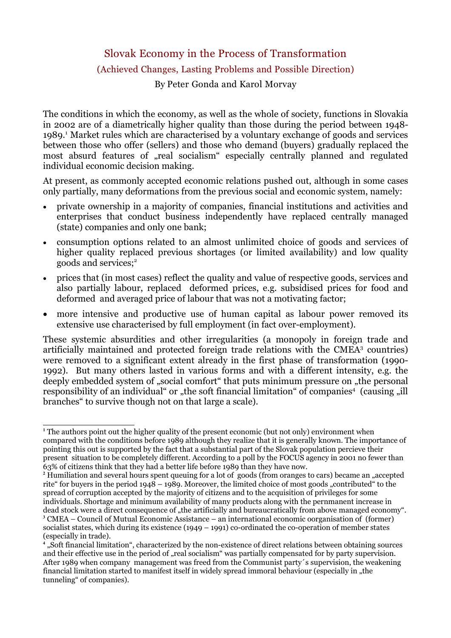Slovak Economy in the Process of Transformation

## (Achieved Changes, Lasting Problems and Possible Direction)

By Peter Gonda and Karol Morvay

The conditions in which the economy, as well as the whole of society, functions in Slovakia in 2002 are of a diametrically higher quality than those during the period between 1948- 1989.<sup>1</sup> Market rules which are characterised by a voluntary exchange of goods and services between those who offer (sellers) and those who demand (buyers) gradually replaced the most absurd features of "real socialism" especially centrally planned and regulated individual economic decision making.

At present, as commonly accepted economic relations pushed out, although in some cases only partially, many deformations from the previous social and economic system, namely:

- private ownership in a majority of companies, financial institutions and activities and enterprises that conduct business independently have replaced centrally managed (state) companies and only one bank;
- consumption options related to an almost unlimited choice of goods and services of higher quality replaced previous shortages (or limited availability) and low quality goods and services; 2
- prices that (in most cases) reflect the quality and value of respective goods, services and also partially labour, replaced deformed prices, e.g. subsidised prices for food and deformed and averaged price of labour that was not a motivating factor;
- more intensive and productive use of human capital as labour power removed its extensive use characterised by full employment (in fact over-employment).

These systemic absurdities and other irregularities (a monopoly in foreign trade and artificially maintained and protected foreign trade relations with the CMEA<sup>3</sup> countries) were removed to a significant extent already in the first phase of transformation (1990- 1992). But many others lasted in various forms and with a different intensity, e.g. the deeply embedded system of "social comfort" that puts minimum pressure on "the personal responsibility of an individual" or "the soft financial limitation" of companies<sup>4</sup> (causing "ill branches" to survive though not on that large a scale).

**<sup>1</sup>** The authors point out the higher quality of the present economic (but not only) environment when compared with the conditions before 1989 although they realize that it is generally known. The importance of pointing this out is supported by the fact that a substantial part of the Slovak population percieve their present situation to be completely different. According to a poll by the FOCUS agency in 2001 no fewer than 63% of citizens think that they had a better life before 1989 than they have now.

<sup>&</sup>lt;sup>2</sup> Humiliation and several hours spent queuing for a lot of goods (from oranges to cars) became an "accepted rite" for buyers in the period 1948 – 1989. Moreover, the limited choice of most goods "contributed" to the spread of corruption accepted by the majority of citizens and to the acquisition of privileges for some individuals. Shortage and minimum availability of many products along with the pernmanent increase in dead stock were a direct consequence of "the artificially and bureaucratically from above managed economy". **<sup>3</sup>** CMEA – Council of Mutual Economic Assistance – an international economic oorganisation of (former) socialist states, which during its existence (1949 – 1991) co-ordinated the co-operation of member states (especially in trade).

**<sup>4</sup>** "Soft financial limitation", characterized by the non-existence of direct relations between obtaining sources and their effective use in the period of "real socialism" was partially compensated for by party supervision. After 1989 when company management was freed from the Communist party´s supervision, the weakening financial limitation started to manifest itself in widely spread immoral behaviour (especially in "the tunneling" of companies).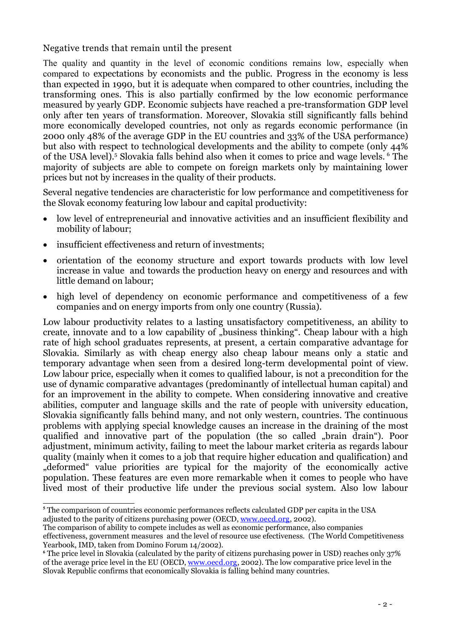Negative trends that remain until the present

The quality and quantity in the level of economic conditions remains low, especially when compared to expectations by economists and the public. Progress in the economy is less than expected in 1990, but it is adequate when compared to other countries, including the transforming ones. This is also partially confirmed by the low economic performance measured by yearly GDP. Economic subjects have reached a pre-transformation GDP level only after ten years of transformation. Moreover, Slovakia still significantly falls behind more economically developed countries, not only as regards economic performance (in 2000 only 48% of the average GDP in the EU countries and 33% of the USA performance) but also with respect to technological developments and the ability to compete (only 44% of the USA level).<sup>5</sup> Slovakia falls behind also when it comes to price and wage levels. <sup>6</sup> The majority of subjects are able to compete on foreign markets only by maintaining lower prices but not by increases in the quality of their products.

Several negative tendencies are characteristic for low performance and competitiveness for the Slovak economy featuring low labour and capital productivity:

- · low level of entrepreneurial and innovative activities and an insufficient flexibility and mobility of labour;
- insufficient effectiveness and return of investments;
- · orientation of the economy structure and export towards products with low level increase in value and towards the production heavy on energy and resources and with little demand on labour;
- high level of dependency on economic performance and competitiveness of a few companies and on energy imports from only one country (Russia).

Low labour productivity relates to a lasting unsatisfactory competitiveness, an ability to create, innovate and to a low capability of "business thinking". Cheap labour with a high rate of high school graduates represents, at present, a certain comparative advantage for Slovakia. Similarly as with cheap energy also cheap labour means only a static and temporary advantage when seen from a desired long-term developmental point of view. Low labour price, especially when it comes to qualified labour, is not a precondition for the use of dynamic comparative advantages (predominantly of intellectual human capital) and for an improvement in the ability to compete. When considering innovative and creative abilities, computer and language skills and the rate of people with university education, Slovakia significantly falls behind many, and not only western, countries. The continuous problems with applying special knowledge causes an increase in the draining of the most qualified and innovative part of the population (the so called "brain drain"). Poor adjustment, minimum activity, failing to meet the labour market criteria as regards labour quality (mainly when it comes to a job that require higher education and qualification) and "deformed" value priorities are typical for the majority of the economically active population. These features are even more remarkable when it comes to people who have lived most of their productive life under the previous social system. Also low labour

**<sup>5</sup>** The comparison of countries economic performances reflects calculated GDP per capita in the USA adjusted to the parity of citizens purchasing power (OECD, www.oecd.org, 2002).

The comparison of ability to compete includes as well as economic performance, also companies effectiveness, government measures and the level of resource use efectiveness. (The World Competitiveness Yearbook, IMD, taken from Domino Forum 14/2002).

<sup>&</sup>lt;sup>6</sup> The price level in Slovakia (calculated by the parity of citizens purchasing power in USD) reaches only 37% of the average price level in the EU (OECD, www.oecd.org, 2002). The low comparative price level in the Slovak Republic confirms that economically Slovakia is falling behind many countries.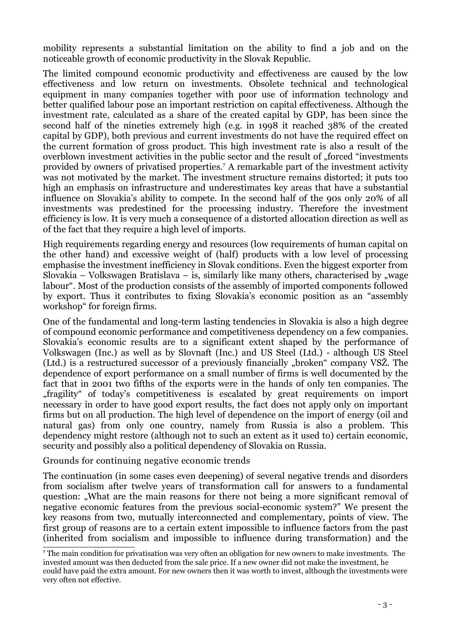mobility represents a substantial limitation on the ability to find a job and on the noticeable growth of economic productivity in the Slovak Republic.

The limited compound economic productivity and effectiveness are caused by the low effectiveness and low return on investments. Obsolete technical and technological equipment in many companies together with poor use of information technology and better qualified labour pose an important restriction on capital effectiveness. Although the investment rate, calculated as a share of the created capital by GDP, has been since the second half of the nineties extremely high (e.g. in 1998 it reached 38% of the created capital by GDP), both previous and current investments do not have the required effect on the current formation of gross product. This high investment rate is also a result of the overblown investment activities in the public sector and the result of "forced "investments" provided by owners of privatised properties. <sup>7</sup> A remarkable part of the investment activity was not motivated by the market. The investment structure remains distorted; it puts too high an emphasis on infrastructure and underestimates key areas that have a substantial influence on Slovakia's ability to compete. In the second half of the 90s only 20% of all investments was predestined for the processing industry. Therefore the investment efficiency is low. It is very much a consequence of a distorted allocation direction as well as of the fact that they require a high level of imports.

High requirements regarding energy and resources (low requirements of human capital on the other hand) and excessive weight of (half) products with a low level of processing emphasise the investment inefficiency in Slovak conditions. Even the biggest exporter from Slovakia – Volkswagen Bratislava – is, similarly like many others, characterised by "wage labour". Most of the production consists of the assembly of imported components followed by export. Thus it contributes to fixing Slovakia's economic position as an "assembly workshop" for foreign firms.

One of the fundamental and long-term lasting tendencies in Slovakia is also a high degree of compound economic performance and competitiveness dependency on a few companies. Slovakia's economic results are to a significant extent shaped by the performance of Volkswagen (Inc.) as well as by Slovnaft (Inc.) and US Steel (Ltd.) - although US Steel (Ltd.) is a restructured successor of a previously financially "broken" company VSŽ. The dependence of export performance on a small number of firms is well documented by the fact that in 2001 two fifths of the exports were in the hands of only ten companies. The "fragility" of today's competitiveness is escalated by great requirements on import necessary in order to have good export results, the fact does not apply only on important firms but on all production. The high level of dependence on the import of energy (oil and natural gas) from only one country, namely from Russia is also a problem. This dependency might restore (although not to such an extent as it used to) certain economic, security and possibly also a political dependency of Slovakia on Russia.

## Grounds for continuing negative economic trends

The continuation (in some cases even deepening) of several negative trends and disorders from socialism after twelve years of transformation call for answers to a fundamental question: "What are the main reasons for there not being a more significant removal of negative economic features from the previous social-economic system?" We present the key reasons from two, mutually interconnected and complementary, points of view. The first group of reasons are to a certain extent impossible to influence factors from the past (inherited from socialism and impossible to influence during transformation) and the

**<sup>7</sup>** The main condition for privatisation was very often an obligation for new owners to make investments. The invested amount was then deducted from the sale price. If a new owner did not make the investment, he

could have paid the extra amount. For new owners then it was worth to invest, although the investments were very often not effective.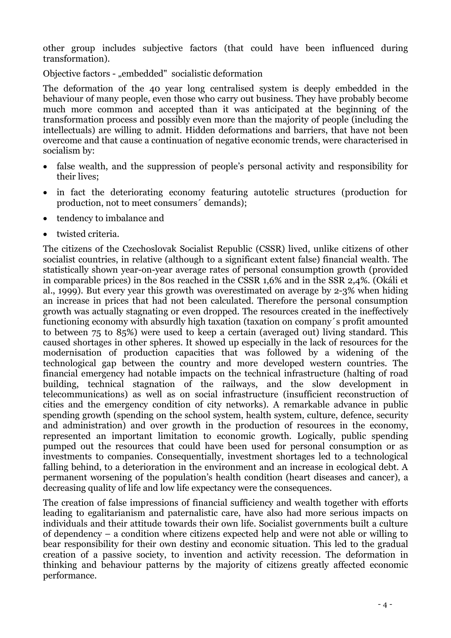other group includes subjective factors (that could have been influenced during transformation).

Objective factors - "embedded" socialistic deformation

The deformation of the 40 year long centralised system is deeply embedded in the behaviour of many people, even those who carry out business. They have probably become much more common and accepted than it was anticipated at the beginning of the transformation process and possibly even more than the majority of people (including the intellectuals) are willing to admit. Hidden deformations and barriers, that have not been overcome and that cause a continuation of negative economic trends, were characterised in socialism by:

- false wealth, and the suppression of people's personal activity and responsibility for their lives;
- · in fact the deteriorating economy featuring autotelic structures (production for production, not to meet consumers´ demands);
- · tendency to imbalance and
- · twisted criteria.

The citizens of the Czechoslovak Socialist Republic (CSSR) lived, unlike citizens of other socialist countries, in relative (although to a significant extent false) financial wealth. The statistically shown year-on-year average rates of personal consumption growth (provided in comparable prices) in the 80s reached in the CSSR 1,6% and in the SSR 2,4%. (Okáli et al., 1999). But every year this growth was overestimated on average by 2-3% when hiding an increase in prices that had not been calculated. Therefore the personal consumption growth was actually stagnating or even dropped. The resources created in the ineffectively functioning economy with absurdly high taxation (taxation on company´s profit amounted to between 75 to 85%) were used to keep a certain (averaged out) living standard. This caused shortages in other spheres. It showed up especially in the lack of resources for the modernisation of production capacities that was followed by a widening of the technological gap between the country and more developed western countries. The financial emergency had notable impacts on the technical infrastructure (halting of road building, technical stagnation of the railways, and the slow development in telecommunications) as well as on social infrastructure (insufficient reconstruction of cities and the emergency condition of city networks). A remarkable advance in public spending growth (spending on the school system, health system, culture, defence, security and administration) and over growth in the production of resources in the economy, represented an important limitation to economic growth. Logically, public spending pumped out the resources that could have been used for personal consumption or as investments to companies. Consequentially, investment shortages led to a technological falling behind, to a deterioration in the environment and an increase in ecological debt. A permanent worsening of the population's health condition (heart diseases and cancer), a decreasing quality of life and low life expectancy were the consequences.

The creation of false impressions of financial sufficiency and wealth together with efforts leading to egalitarianism and paternalistic care, have also had more serious impacts on individuals and their attitude towards their own life. Socialist governments built a culture of dependency – a condition where citizens expected help and were not able or willing to bear responsibility for their own destiny and economic situation. This led to the gradual creation of a passive society, to invention and activity recession. The deformation in thinking and behaviour patterns by the majority of citizens greatly affected economic performance.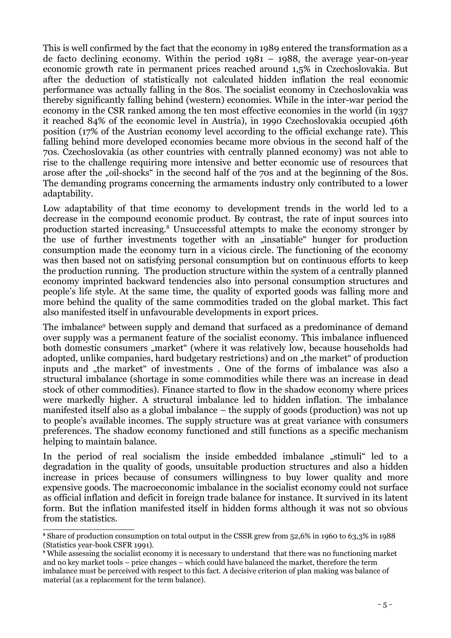This is well confirmed by the fact that the economy in 1989 entered the transformation as a de facto declining economy. Within the period 1981 – 1988, the average year-on-year economic growth rate in permanent prices reached around 1,5% in Czechoslovakia. But after the deduction of statistically not calculated hidden inflation the real economic performance was actually falling in the 80s. The socialist economy in Czechoslovakia was thereby significantly falling behind (western) economies. While in the inter-war period the economy in the CSR ranked among the ten most effective economies in the world (in 1937 it reached 84% of the economic level in Austria), in 1990 Czechoslovakia occupied 46th position (17% of the Austrian economy level according to the official exchange rate). This falling behind more developed economies became more obvious in the second half of the 70s. Czechoslovakia (as other countries with centrally planned economy) was not able to rise to the challenge requiring more intensive and better economic use of resources that arose after the "oil-shocks" in the second half of the 70s and at the beginning of the 80s. The demanding programs concerning the armaments industry only contributed to a lower adaptability.

Low adaptability of that time economy to development trends in the world led to a decrease in the compound economic product. By contrast, the rate of input sources into production started increasing.<sup>8</sup> Unsuccessful attempts to make the economy stronger by the use of further investments together with an "insatiable" hunger for production consumption made the economy turn in a vicious circle. The functioning of the economy was then based not on satisfying personal consumption but on continuous efforts to keep the production running. The production structure within the system of a centrally planned economy imprinted backward tendencies also into personal consumption structures and people's life style. At the same time, the quality of exported goods was falling more and more behind the quality of the same commodities traded on the global market. This fact also manifested itself in unfavourable developments in export prices.

The imbalance<sup>9</sup> between supply and demand that surfaced as a predominance of demand over supply was a permanent feature of the socialist economy. This imbalance influenced both domestic consumers "market" (where it was relatively low, because households had adopted, unlike companies, hard budgetary restrictions) and on "the market" of production inputs and "the market" of investments. One of the forms of imbalance was also a structural imbalance (shortage in some commodities while there was an increase in dead stock of other commodities). Finance started to flow in the shadow economy where prices were markedly higher. A structural imbalance led to hidden inflation. The imbalance manifested itself also as a global imbalance – the supply of goods (production) was not up to people's available incomes. The supply structure was at great variance with consumers preferences. The shadow economy functioned and still functions as a specific mechanism helping to maintain balance.

In the period of real socialism the inside embedded imbalance "stimuli" led to a degradation in the quality of goods, unsuitable production structures and also a hidden increase in prices because of consumers willingness to buy lower quality and more expensive goods. The macroeconomic imbalance in the socialist economy could not surface as official inflation and deficit in foreign trade balance for instance. It survived in its latent form. But the inflation manifested itself in hidden forms although it was not so obvious from the statistics.

**<sup>8</sup>** Share of production consumption on total output in the CSSR grew from 52,6% in 1960 to 63,3% in 1988 (Statistics year-book CSFR 1991).

**<sup>9</sup>** While assessing the socialist economy it is necessary to understand that there was no functioning market and no key market tools – price changes – which could have balanced the market, therefore the term imbalance must be perceived with respect to this fact. A decisive criterion of plan making was balance of material (as a replacement for the term balance).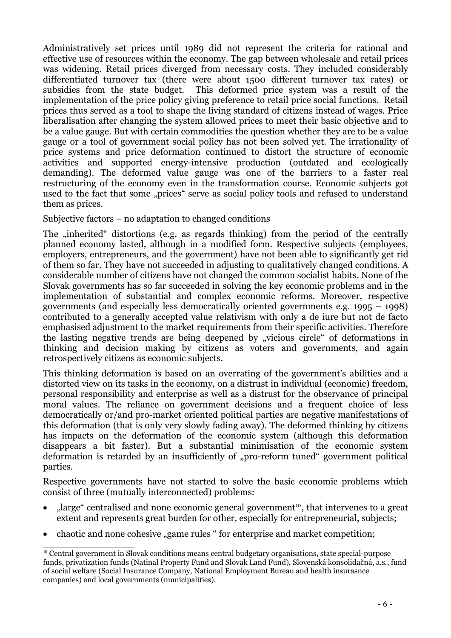Administratively set prices until 1989 did not represent the criteria for rational and effective use of resources within the economy. The gap between wholesale and retail prices was widening. Retail prices diverged from necessary costs. They included considerably differentiated turnover tax (there were about 1500 different turnover tax rates) or subsidies from the state budget. This deformed price system was a result of the implementation of the price policy giving preference to retail price social functions. Retail prices thus served as a tool to shape the living standard of citizens instead of wages. Price liberalisation after changing the system allowed prices to meet their basic objective and to be a value gauge. But with certain commodities the question whether they are to be a value gauge or a tool of government social policy has not been solved yet. The irrationality of price systems and price deformation continued to distort the structure of economic activities and supported energy-intensive production (outdated and ecologically demanding). The deformed value gauge was one of the barriers to a faster real restructuring of the economy even in the transformation course. Economic subjects got used to the fact that some "prices" serve as social policy tools and refused to understand them as prices.

Subjective factors – no adaptation to changed conditions

The "inherited" distortions (e.g. as regards thinking) from the period of the centrally planned economy lasted, although in a modified form. Respective subjects (employees, employers, entrepreneurs, and the government) have not been able to significantly get rid of them so far. They have not succeeded in adjusting to qualitatively changed conditions. A considerable number of citizens have not changed the common socialist habits. None of the Slovak governments has so far succeeded in solving the key economic problems and in the implementation of substantial and complex economic reforms. Moreover, respective governments (and especially less democratically oriented governments e.g. 1995 – 1998) contributed to a generally accepted value relativism with only a de iure but not de facto emphasised adjustment to the market requirements from their specific activities. Therefore the lasting negative trends are being deepened by "vicious circle" of deformations in thinking and decision making by citizens as voters and governments, and again retrospectively citizens as economic subjects.

This thinking deformation is based on an overrating of the government's abilities and a distorted view on its tasks in the economy, on a distrust in individual (economic) freedom, personal responsibility and enterprise as well as a distrust for the observance of principal moral values. The reliance on government decisions and a frequent choice of less democratically or/and pro-market oriented political parties are negative manifestations of this deformation (that is only very slowly fading away). The deformed thinking by citizens has impacts on the deformation of the economic system (although this deformation disappears a bit faster). But a substantial minimisation of the economic system deformation is retarded by an insufficiently of "pro-reform tuned" government political parties.

Respective governments have not started to solve the basic economic problems which consist of three (mutually interconnected) problems:

- "large" centralised and none economic general government<sup>10</sup>, that intervenes to a great extent and represents great burden for other, especially for entrepreneurial, subjects;
- chaotic and none cohesive "game rules " for enterprise and market competition;

**<sup>10</sup>** Central government in Slovak conditions means central budgetary organisations, state special-purpose funds, privatization funds (Natinal Property Fund and Slovak Land Fund), Slovenská konsolidačná, a.s., fund of social welfare (Social Insurance Company, National Employment Bureau and health insurasnce companies) and local governments (municipalities).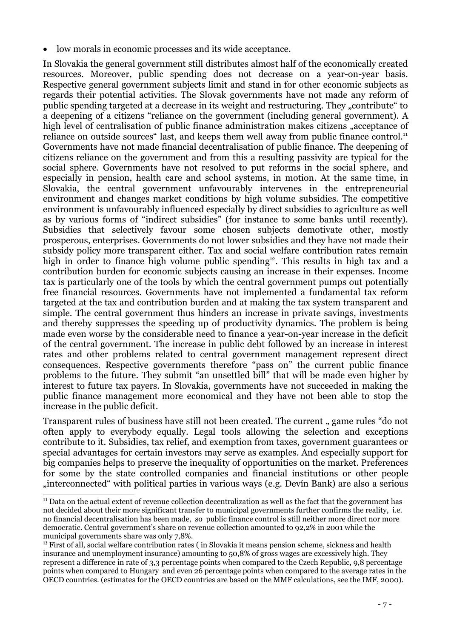· low morals in economic processes and its wide acceptance.

In Slovakia the general government still distributes almost half of the economically created resources. Moreover, public spending does not decrease on a year-on-year basis. Respective general government subjects limit and stand in for other economic subjects as regards their potential activities. The Slovak governments have not made any reform of public spending targeted at a decrease in its weight and restructuring. They "contribute" to a deepening of a citizens "reliance on the government (including general government). A high level of centralisation of public finance administration makes citizens "acceptance of reliance on outside sources" last, and keeps them well away from public finance control.<sup>11</sup> Governments have not made financial decentralisation of public finance. The deepening of citizens reliance on the government and from this a resulting passivity are typical for the social sphere. Governments have not resolved to put reforms in the social sphere, and especially in pension, health care and school systems, in motion. At the same time, in Slovakia, the central government unfavourably intervenes in the entrepreneurial environment and changes market conditions by high volume subsidies. The competitive environment is unfavourably influenced especially by direct subsidies to agriculture as well as by various forms of "indirect subsidies" (for instance to some banks until recently). Subsidies that selectively favour some chosen subjects demotivate other, mostly prosperous, enterprises. Governments do not lower subsidies and they have not made their subsidy policy more transparent either. Tax and social welfare contribution rates remain high in order to finance high volume public spending<sup>12</sup>. This results in high tax and a contribution burden for economic subjects causing an increase in their expenses. Income tax is particularly one of the tools by which the central government pumps out potentially free financial resources. Governments have not implemented a fundamental tax reform targeted at the tax and contribution burden and at making the tax system transparent and simple. The central government thus hinders an increase in private savings, investments and thereby suppresses the speeding up of productivity dynamics. The problem is being made even worse by the considerable need to finance a year-on-year increase in the deficit of the central government. The increase in public debt followed by an increase in interest rates and other problems related to central government management represent direct consequences. Respective governments therefore "pass on" the current public finance problems to the future. They submit "an unsettled bill" that will be made even higher by interest to future tax payers. In Slovakia, governments have not succeeded in making the public finance management more economical and they have not been able to stop the increase in the public deficit.

Transparent rules of business have still not been created. The current, game rules "do not often apply to everybody equally. Legal tools allowing the selection and exceptions contribute to it. Subsidies, tax relief, and exemption from taxes, government guarantees or special advantages for certain investors may serve as examples. And especially support for big companies helps to preserve the inequality of opportunities on the market. Preferences for some by the state controlled companies and financial institutions or other people "interconnected" with political parties in various ways (e.g. Devín Bank) are also a serious

**<sup>11</sup>** Data on the actual extent of revenue collection decentralization as well as the fact that the government has not decided about their more significant transfer to municipal governments further confirms the reality, i.e. no financial decentralisation has been made, so public finance control is still neither more direct nor more democratic. Central government's share on revenue collection amounted to 92,2% in 2001 while the municipal governments share was only 7,8%.

**<sup>12</sup>** First of all, social welfare contribution rates ( in Slovakia it means pension scheme, sickness and health insurance and unemployment insurance) amounting to 50,8% of gross wages are excessively high. They represent a difference in rate of 3,3 percentage points when compared to the Czech Republic, 9,8 percentage points when compared to Hungary and even 26 percentage points when compared to the average rates in the OECD countries. (estimates for the OECD countries are based on the MMF calculations, see the IMF, 2000).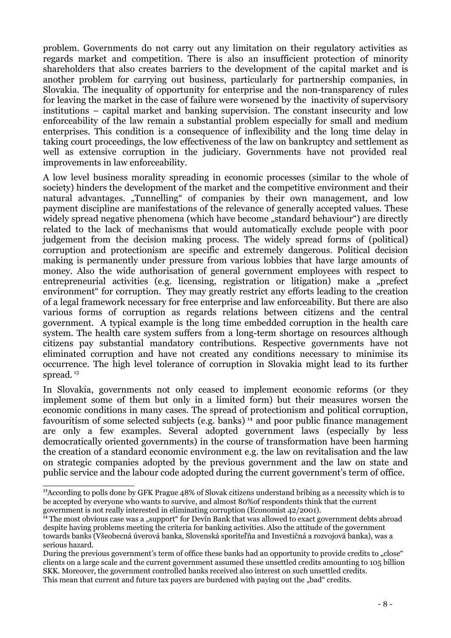problem. Governments do not carry out any limitation on their regulatory activities as regards market and competition. There is also an insufficient protection of minority shareholders that also creates barriers to the development of the capital market and is another problem for carrying out business, particularly for partnership companies, in Slovakia. The inequality of opportunity for enterprise and the non-transparency of rules for leaving the market in the case of failure were worsened by the inactivity of supervisory institutions – capital market and banking supervision. The constant insecurity and low enforceability of the law remain a substantial problem especially for small and medium enterprises. This condition is a consequence of inflexibility and the long time delay in taking court proceedings, the low effectiveness of the law on bankruptcy and settlement as well as extensive corruption in the judiciary. Governments have not provided real improvements in law enforceability.

A low level business morality spreading in economic processes (similar to the whole of society) hinders the development of the market and the competitive environment and their natural advantages. "Tunnelling" of companies by their own management, and low payment discipline are manifestations of the relevance of generally accepted values. These widely spread negative phenomena (which have become "standard behaviour") are directly related to the lack of mechanisms that would automatically exclude people with poor judgement from the decision making process. The widely spread forms of (political) corruption and protectionism are specific and extremely dangerous. Political decision making is permanently under pressure from various lobbies that have large amounts of money. Also the wide authorisation of general government employees with respect to entrepreneurial activities (e.g. licensing, registration or litigation) make a "prefect environment" for corruption. They may greatly restrict any efforts leading to the creation of a legal framework necessary for free enterprise and law enforceability. But there are also various forms of corruption as regards relations between citizens and the central government. A typical example is the long time embedded corruption in the health care system. The health care system suffers from a long-term shortage on resources although citizens pay substantial mandatory contributions. Respective governments have not eliminated corruption and have not created any conditions necessary to minimise its occurrence. The high level tolerance of corruption in Slovakia might lead to its further spread. 13

In Slovakia, governments not only ceased to implement economic reforms (or they implement some of them but only in a limited form) but their measures worsen the economic conditions in many cases. The spread of protectionism and political corruption, favouritism of some selected subjects (e.g. banks)  $\frac{1}{4}$  and poor public finance management are only a few examples. Several adopted government laws (especially by less democratically oriented governments) in the course of transformation have been harming the creation of a standard economic environment e.g. the law on revitalisation and the law on strategic companies adopted by the previous government and the law on state and public service and the labour code adopted during the current government's term of office.

**<sup>13</sup>**According to polls done by GFK Prague 48% of Slovak citizens understand bribing as a necessity which is to be accepted by everyone who wants to survive, and almost 80%of respondents think that the current government is not really interested in eliminating corruption (Economist 42/2001).

<sup>&</sup>lt;sup>14</sup> The most obvious case was a "support" for Devín Bank that was allowed to exact government debts abroad despite having problems meeting the criteria for banking activities. Also the attitude of the government towards banks (Všeobecná úverová banka, Slovenská sporiteľňa and Investičná a rozvojová banka), was a serious hazard.

During the previous government's term of office these banks had an opportunity to provide credits to "close" clients on a large scale and the current government assumed these unsettled credits amounting to 105 billion SKK. Moreover, the government controlled banks received also interest on such unsettled credits. This mean that current and future tax payers are burdened with paying out the "bad" credits.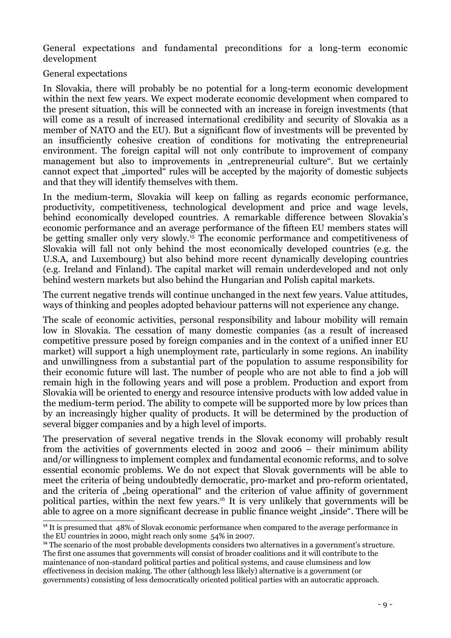General expectations and fundamental preconditions for a long-term economic development

General expectations

In Slovakia, there will probably be no potential for a long-term economic development within the next few years. We expect moderate economic development when compared to the present situation, this will be connected with an increase in foreign investments (that will come as a result of increased international credibility and security of Slovakia as a member of NATO and the EU). But a significant flow of investments will be prevented by an insufficiently cohesive creation of conditions for motivating the entrepreneurial environment. The foreign capital will not only contribute to improvement of company management but also to improvements in "entrepreneurial culture". But we certainly cannot expect that  $\lim_{n \to \infty}$  rules will be accepted by the majority of domestic subjects and that they will identify themselves with them.

In the medium-term, Slovakia will keep on falling as regards economic performance, productivity, competitiveness, technological development and price and wage levels, behind economically developed countries. A remarkable difference between Slovakia's economic performance and an average performance of the fifteen EU members states will be getting smaller only very slowly. <sup>15</sup> The economic performance and competitiveness of Slovakia will fall not only behind the most economically developed countries (e.g. the U.S.A, and Luxembourg) but also behind more recent dynamically developing countries (e.g. Ireland and Finland). The capital market will remain underdeveloped and not only behind western markets but also behind the Hungarian and Polish capital markets.

The current negative trends will continue unchanged in the next few years. Value attitudes, ways of thinking and peoples adopted behaviour patterns will not experience any change.

The scale of economic activities, personal responsibility and labour mobility will remain low in Slovakia. The cessation of many domestic companies (as a result of increased competitive pressure posed by foreign companies and in the context of a unified inner EU market) will support a high unemployment rate, particularly in some regions. An inability and unwillingness from a substantial part of the population to assume responsibility for their economic future will last. The number of people who are not able to find a job will remain high in the following years and will pose a problem. Production and export from Slovakia will be oriented to energy and resource intensive products with low added value in the medium-term period. The ability to compete will be supported more by low prices than by an increasingly higher quality of products. It will be determined by the production of several bigger companies and by a high level of imports.

The preservation of several negative trends in the Slovak economy will probably result from the activities of governments elected in 2002 and 2006 – their minimum ability and/or willingness to implement complex and fundamental economic reforms, and to solve essential economic problems. We do not expect that Slovak governments will be able to meet the criteria of being undoubtedly democratic, pro-market and pro-reform orientated, and the criteria of "being operational" and the criterion of value affinity of government political parties, within the next few years. <sup>16</sup> It is very unlikely that governments will be able to agree on a more significant decrease in public finance weight "inside". There will be

**<sup>15</sup>** It is presumed that 48% of Slovak economic performance when compared to the average performance in the EU countries in 2000, might reach only some 54% in 2007.

<sup>&</sup>lt;sup>16</sup> The scenario of the most probable developments considers two alternatives in a government's structure. The first one assumes that governments will consist of broader coalitions and it will contribute to the maintenance of non-standard political parties and political systems, and cause clumsiness and low effectiveness in decision making. The other (although less likely) alternative is a government (or governments) consisting of less democratically oriented political parties with an autocratic approach.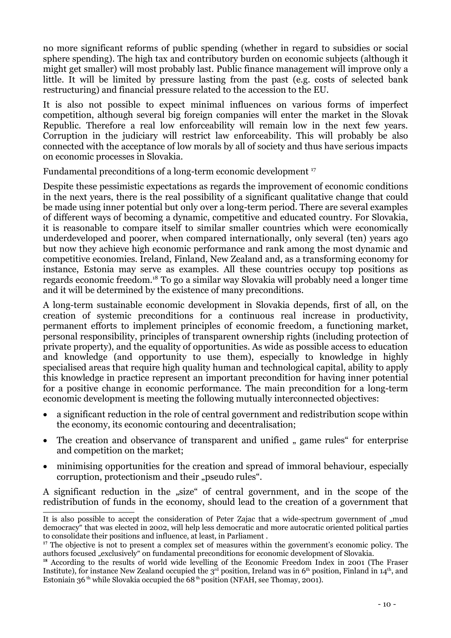no more significant reforms of public spending (whether in regard to subsidies or social sphere spending). The high tax and contributory burden on economic subjects (although it might get smaller) will most probably last. Public finance management will improve only a little. It will be limited by pressure lasting from the past (e.g. costs of selected bank restructuring) and financial pressure related to the accession to the EU.

It is also not possible to expect minimal influences on various forms of imperfect competition, although several big foreign companies will enter the market in the Slovak Republic. Therefore a real low enforceability will remain low in the next few years. Corruption in the judiciary will restrict law enforceability. This will probably be also connected with the acceptance of low morals by all of society and thus have serious impacts on economic processes in Slovakia.

Fundamental preconditions of a long-term economic development<sup>17</sup>

Despite these pessimistic expectations as regards the improvement of economic conditions in the next years, there is the real possibility of a significant qualitative change that could be made using inner potential but only over a long-term period. There are several examples of different ways of becoming a dynamic, competitive and educated country. For Slovakia, it is reasonable to compare itself to similar smaller countries which were economically underdeveloped and poorer, when compared internationally, only several (ten) years ago but now they achieve high economic performance and rank among the most dynamic and competitive economies. Ireland, Finland, New Zealand and, as a transforming economy for instance, Estonia may serve as examples. All these countries occupy top positions as regards economic freedom.<sup>18</sup> To go a similar way Slovakia will probably need a longer time and it will be determined by the existence of many preconditions.

A long-term sustainable economic development in Slovakia depends, first of all, on the creation of systemic preconditions for a continuous real increase in productivity, permanent efforts to implement principles of economic freedom, a functioning market, personal responsibility, principles of transparent ownership rights (including protection of private property), and the equality of opportunities. As wide as possible access to education and knowledge (and opportunity to use them), especially to knowledge in highly specialised areas that require high quality human and technological capital, ability to apply this knowledge in practice represent an important precondition for having inner potential for a positive change in economic performance. The main precondition for a long-term economic development is meeting the following mutually interconnected objectives:

- · a significant reduction in the role of central government and redistribution scope within the economy, its economic contouring and decentralisation;
- The creation and observance of transparent and unified " game rules" for enterprise and competition on the market;
- minimising opportunities for the creation and spread of immoral behaviour, especially corruption, protectionism and their "pseudo rules".

A significant reduction in the "size" of central government, and in the scope of the redistribution of funds in the economy, should lead to the creation of a government that

It is also possible to accept the consideration of Peter Zajac that a wide-spectrum government of ...mud democracy" that was elected in 2002, will help less democratic and more autocratic oriented political parties to consolidate their positions and influence, at least, in Parliament .

<sup>&</sup>lt;sup>17</sup> The objective is not to present a complex set of measures within the government's economic policy. The authors focused "exclusively" on fundamental preconditions for economic development of Slovakia.

<sup>&</sup>lt;sup>18</sup> According to the results of world wide levelling of the Economic Freedom Index in 2001 (The Fraser Institute), for instance New Zealand occupied the 3<sup>rd</sup> position, Ireland was in 6<sup>th</sup> position, Finland in 14<sup>th</sup>, and Estoniain 36<sup>th</sup> while Slovakia occupied the 68<sup>th</sup> position (NFAH, see Thomay, 2001).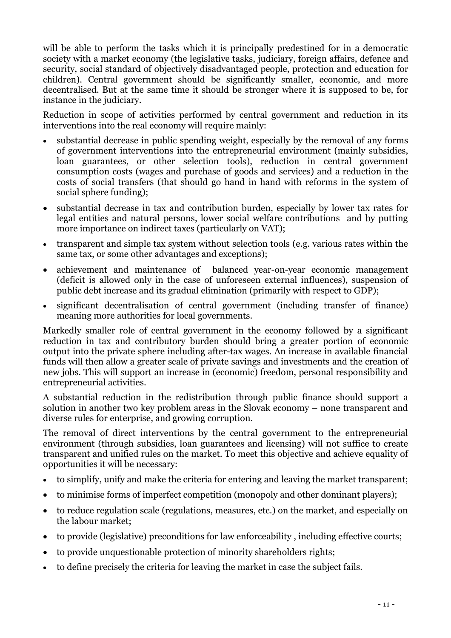will be able to perform the tasks which it is principally predestined for in a democratic society with a market economy (the legislative tasks, judiciary, foreign affairs, defence and security, social standard of objectively disadvantaged people, protection and education for children). Central government should be significantly smaller, economic, and more decentralised. But at the same time it should be stronger where it is supposed to be, for instance in the judiciary.

Reduction in scope of activities performed by central government and reduction in its interventions into the real economy will require mainly:

- · substantial decrease in public spending weight, especially by the removal of any forms of government interventions into the entrepreneurial environment (mainly subsidies, loan guarantees, or other selection tools), reduction in central government consumption costs (wages and purchase of goods and services) and a reduction in the costs of social transfers (that should go hand in hand with reforms in the system of social sphere funding);
- · substantial decrease in tax and contribution burden, especially by lower tax rates for legal entities and natural persons, lower social welfare contributions and by putting more importance on indirect taxes (particularly on VAT);
- · transparent and simple tax system without selection tools (e.g. various rates within the same tax, or some other advantages and exceptions);
- achievement and maintenance of balanced year-on-year economic management (deficit is allowed only in the case of unforeseen external influences), suspension of public debt increase and its gradual elimination (primarily with respect to GDP);
- · significant decentralisation of central government (including transfer of finance) meaning more authorities for local governments.

Markedly smaller role of central government in the economy followed by a significant reduction in tax and contributory burden should bring a greater portion of economic output into the private sphere including after-tax wages. An increase in available financial funds will then allow a greater scale of private savings and investments and the creation of new jobs. This will support an increase in (economic) freedom, personal responsibility and entrepreneurial activities.

A substantial reduction in the redistribution through public finance should support a solution in another two key problem areas in the Slovak economy – none transparent and diverse rules for enterprise, and growing corruption.

The removal of direct interventions by the central government to the entrepreneurial environment (through subsidies, loan guarantees and licensing) will not suffice to create transparent and unified rules on the market. To meet this objective and achieve equality of opportunities it will be necessary:

- · to simplify, unify and make the criteria for entering and leaving the market transparent;
- · to minimise forms of imperfect competition (monopoly and other dominant players);
- · to reduce regulation scale (regulations, measures, etc.) on the market, and especially on the labour market;
- · to provide (legislative) preconditions for law enforceability , including effective courts;
- · to provide unquestionable protection of minority shareholders rights;
- · to define precisely the criteria for leaving the market in case the subject fails.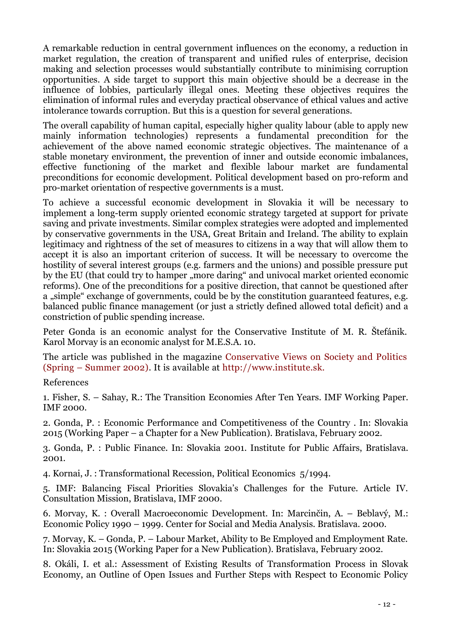A remarkable reduction in central government influences on the economy, a reduction in market regulation, the creation of transparent and unified rules of enterprise, decision making and selection processes would substantially contribute to minimising corruption opportunities. A side target to support this main objective should be a decrease in the influence of lobbies, particularly illegal ones. Meeting these objectives requires the elimination of informal rules and everyday practical observance of ethical values and active intolerance towards corruption. But this is a question for several generations.

The overall capability of human capital, especially higher quality labour (able to apply new mainly information technologies) represents a fundamental precondition for the achievement of the above named economic strategic objectives. The maintenance of a stable monetary environment, the prevention of inner and outside economic imbalances, effective functioning of the market and flexible labour market are fundamental preconditions for economic development. Political development based on pro-reform and pro-market orientation of respective governments is a must.

To achieve a successful economic development in Slovakia it will be necessary to implement a long-term supply oriented economic strategy targeted at support for private saving and private investments. Similar complex strategies were adopted and implemented by conservative governments in the USA, Great Britain and Ireland. The ability to explain legitimacy and rightness of the set of measures to citizens in a way that will allow them to accept it is also an important criterion of success. It will be necessary to overcome the hostility of several interest groups (e.g. farmers and the unions) and possible pressure put by the EU (that could try to hamper "more daring" and univocal market oriented economic reforms). One of the preconditions for a positive direction, that cannot be questioned after a "simple" exchange of governments, could be by the constitution guaranteed features, e.g. balanced public finance management (or just a strictly defined allowed total deficit) and a constriction of public spending increase.

Peter Gonda is an economic analyst for the Conservative Institute of M. R. Štefánik. Karol Morvay is an economic analyst for M.E.S.A. 10.

The article was published in the magazine Conservative Views on Society and Politics (Spring – Summer 2002). It is available at http://www.institute.sk.

References

1. Fisher, S. – Sahay, R.: The Transition Economies After Ten Years. IMF Working Paper. IMF 2000.

2. Gonda, P. : Economic Performance and Competitiveness of the Country . In: Slovakia 2015 (Working Paper – a Chapter for a New Publication). Bratislava, February 2002.

3. Gonda, P. : Public Finance. In: Slovakia 2001. Institute for Public Affairs, Bratislava. 2001.

4. Kornai, J. : Transformational Recession, Political Economics 5/1994.

5. IMF: Balancing Fiscal Priorities Slovakia's Challenges for the Future. Article IV. Consultation Mission, Bratislava, IMF 2000.

6. Morvay, K. : Overall Macroeconomic Development. In: Marcinčin, A. – Beblavý, M.: Economic Policy 1990 – 1999. Center for Social and Media Analysis. Bratislava. 2000.

7. Morvay, K. – Gonda, P. – Labour Market, Ability to Be Employed and Employment Rate. In: Slovakia 2015 (Working Paper for a New Publication). Bratislava, February 2002.

8. Okáli, I. et al.: Assessment of Existing Results of Transformation Process in Slovak Economy, an Outline of Open Issues and Further Steps with Respect to Economic Policy